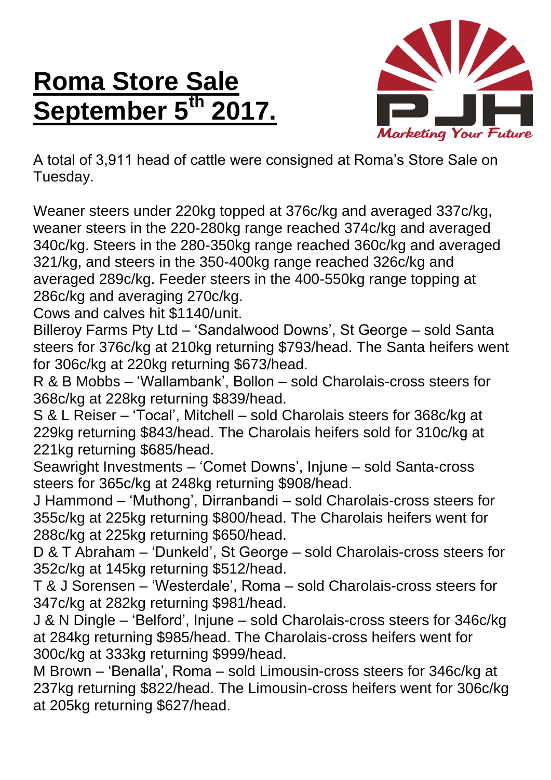## **Roma Store Sale September 5 th 2017.**



A total of 3,911 head of cattle were consigned at Roma's Store Sale on Tuesday.

Weaner steers under 220kg topped at 376c/kg and averaged 337c/kg, weaner steers in the 220-280kg range reached 374c/kg and averaged 340c/kg. Steers in the 280-350kg range reached 360c/kg and averaged 321/kg, and steers in the 350-400kg range reached 326c/kg and averaged 289c/kg. Feeder steers in the 400-550kg range topping at 286c/kg and averaging 270c/kg.

Cows and calves hit \$1140/unit.

Billeroy Farms Pty Ltd – 'Sandalwood Downs', St George – sold Santa steers for 376c/kg at 210kg returning \$793/head. The Santa heifers went for 306c/kg at 220kg returning \$673/head.

R & B Mobbs – 'Wallambank', Bollon – sold Charolais-cross steers for 368c/kg at 228kg returning \$839/head.

S & L Reiser – 'Tocal', Mitchell – sold Charolais steers for 368c/kg at 229kg returning \$843/head. The Charolais heifers sold for 310c/kg at 221kg returning \$685/head.

Seawright Investments – 'Comet Downs', Injune – sold Santa-cross steers for 365c/kg at 248kg returning \$908/head.

J Hammond – 'Muthong', Dirranbandi – sold Charolais-cross steers for 355c/kg at 225kg returning \$800/head. The Charolais heifers went for 288c/kg at 225kg returning \$650/head.

D & T Abraham – 'Dunkeld', St George – sold Charolais-cross steers for 352c/kg at 145kg returning \$512/head.

T & J Sorensen – 'Westerdale', Roma – sold Charolais-cross steers for 347c/kg at 282kg returning \$981/head.

J & N Dingle – 'Belford', Injune – sold Charolais-cross steers for 346c/kg at 284kg returning \$985/head. The Charolais-cross heifers went for 300c/kg at 333kg returning \$999/head.

M Brown – 'Benalla', Roma – sold Limousin-cross steers for 346c/kg at 237kg returning \$822/head. The Limousin-cross heifers went for 306c/kg at 205kg returning \$627/head.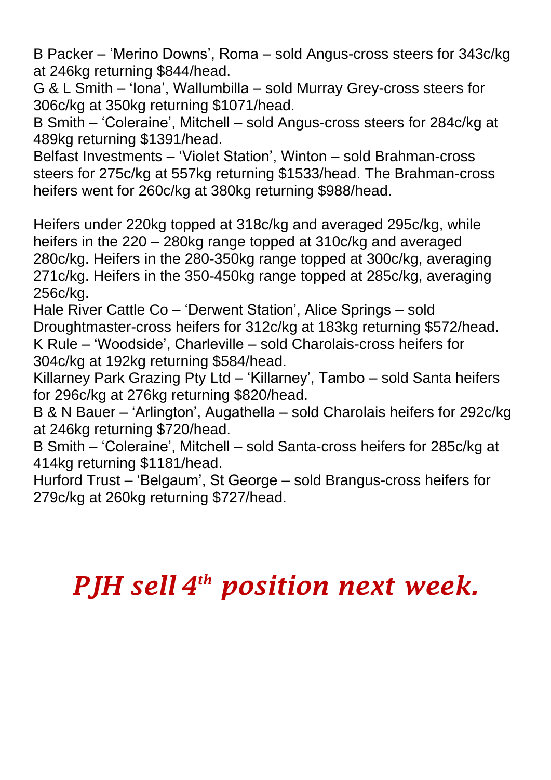B Packer – 'Merino Downs', Roma – sold Angus-cross steers for 343c/kg at 246kg returning \$844/head.

G & L Smith – 'Iona', Wallumbilla – sold Murray Grey-cross steers for 306c/kg at 350kg returning \$1071/head.

B Smith – 'Coleraine', Mitchell – sold Angus-cross steers for 284c/kg at 489kg returning \$1391/head.

Belfast Investments – 'Violet Station', Winton – sold Brahman-cross steers for 275c/kg at 557kg returning \$1533/head. The Brahman-cross heifers went for 260c/kg at 380kg returning \$988/head.

Heifers under 220kg topped at 318c/kg and averaged 295c/kg, while heifers in the 220 – 280kg range topped at 310c/kg and averaged 280c/kg. Heifers in the 280-350kg range topped at 300c/kg, averaging 271c/kg. Heifers in the 350-450kg range topped at 285c/kg, averaging 256c/kg.

Hale River Cattle Co – 'Derwent Station', Alice Springs – sold Droughtmaster-cross heifers for 312c/kg at 183kg returning \$572/head. K Rule – 'Woodside', Charleville – sold Charolais-cross heifers for 304c/kg at 192kg returning \$584/head.

Killarney Park Grazing Pty Ltd – 'Killarney', Tambo – sold Santa heifers for 296c/kg at 276kg returning \$820/head.

B & N Bauer – 'Arlington', Augathella – sold Charolais heifers for 292c/kg at 246kg returning \$720/head.

B Smith – 'Coleraine', Mitchell – sold Santa-cross heifers for 285c/kg at 414kg returning \$1181/head.

Hurford Trust – 'Belgaum', St George – sold Brangus-cross heifers for 279c/kg at 260kg returning \$727/head.

## *PJH sell 4 th position next week.*